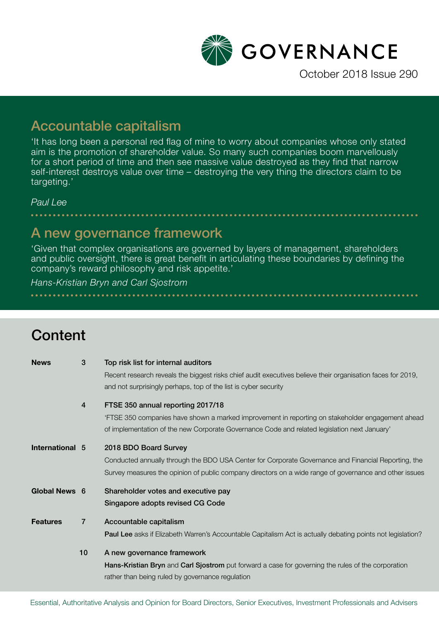

October 2018 Issue 290

# Accountable capitalism

'It has long been a personal red flag of mine to worry about companies whose only stated aim is the promotion of shareholder value. So many such companies boom marvellously for a short period of time and then see massive value destroyed as they find that narrow self-interest destroys value over time – destroying the very thing the directors claim to be targeting.'

*Paul Lee*

## A new governance framework

'Given that complex organisations are governed by layers of management, shareholders and public oversight, there is great benefit in articulating these boundaries by defining the company's reward philosophy and risk appetite.'

#### *Hans-Kristian Bryn and Carl Sjostrom*

# **Content**

| <b>News</b>     | 3              | Top risk list for internal auditors                                                                         |
|-----------------|----------------|-------------------------------------------------------------------------------------------------------------|
|                 |                | Recent research reveals the biggest risks chief audit executives believe their organisation faces for 2019, |
|                 |                | and not surprisingly perhaps, top of the list is cyber security                                             |
|                 | 4              | FTSE 350 annual reporting 2017/18                                                                           |
|                 |                | 'FTSE 350 companies have shown a marked improvement in reporting on stakeholder engagement ahead            |
|                 |                | of implementation of the new Corporate Governance Code and related legislation next January'                |
| International 5 |                | 2018 BDO Board Survey                                                                                       |
|                 |                | Conducted annually through the BDO USA Center for Corporate Governance and Financial Reporting, the         |
|                 |                | Survey measures the opinion of public company directors on a wide range of governance and other issues      |
| Global News 6   |                | Shareholder votes and executive pay                                                                         |
|                 |                | Singapore adopts revised CG Code                                                                            |
| <b>Features</b> | $\overline{7}$ | Accountable capitalism                                                                                      |
|                 |                | Paul Lee asks if Elizabeth Warren's Accountable Capitalism Act is actually debating points not legislation? |
|                 | 10             | A new governance framework                                                                                  |
|                 |                | Hans-Kristian Bryn and Carl Sjostrom put forward a case for governing the rules of the corporation          |
|                 |                | rather than being ruled by governance regulation                                                            |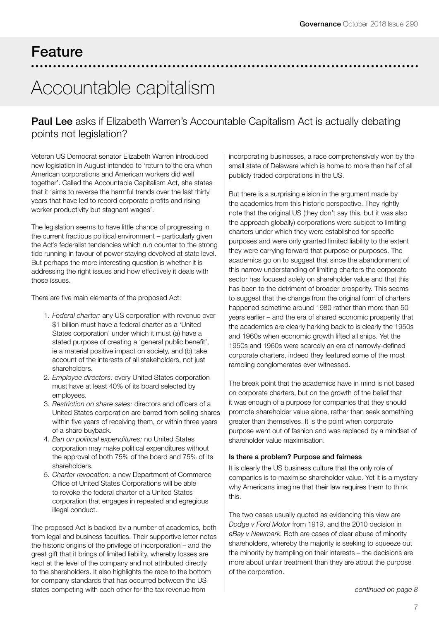# Feature

# Accountable capitalism

### Paul Lee asks if Elizabeth Warren's Accountable Capitalism Act is actually debating points not legislation?

Veteran US Democrat senator Elizabeth Warren introduced new legislation in August intended to 'return to the era when American corporations and American workers did well together'. Called the Accountable Capitalism Act, she states that it 'aims to reverse the harmful trends over the last thirty years that have led to record corporate profits and rising worker productivity but stagnant wages'.

The legislation seems to have little chance of progressing in the current fractious political environment – particularly given the Act's federalist tendencies which run counter to the strong tide running in favour of power staying devolved at state level. But perhaps the more interesting question is whether it is addressing the right issues and how effectively it deals with those issues.

There are five main elements of the proposed Act:

- 1. *Federal charter:* any US corporation with revenue over \$1 billion must have a federal charter as a 'United States corporation' under which it must (a) have a stated purpose of creating a 'general public benefit', ie a material positive impact on society, and (b) take account of the interests of all stakeholders, not just shareholders.
- 2. *Employee directors:* every United States corporation must have at least 40% of its board selected by employees.
- 3. *Restriction on share sales:* directors and officers of a United States corporation are barred from selling shares within five years of receiving them, or within three years of a share buyback.
- 4. *Ban on political expenditures:* no United States corporation may make political expenditures without the approval of both 75% of the board and 75% of its shareholders.
- 5. *Charter revocation:* a new Department of Commerce Office of United States Corporations will be able to revoke the federal charter of a United States corporation that engages in repeated and egregious illegal conduct.

The proposed Act is backed by a number of academics, both from legal and business faculties. Their supportive letter notes the historic origins of the privilege of incorporation – and the great gift that it brings of limited liability, whereby losses are kept at the level of the company and not attributed directly to the shareholders. It also highlights the race to the bottom for company standards that has occurred between the US states competing with each other for the tax revenue from

incorporating businesses, a race comprehensively won by the small state of Delaware which is home to more than half of all publicly traded corporations in the US.

But there is a surprising elision in the argument made by the academics from this historic perspective. They rightly note that the original US (they don't say this, but it was also the approach globally) corporations were subject to limiting charters under which they were established for specific purposes and were only granted limited liability to the extent they were carrying forward that purpose or purposes. The academics go on to suggest that since the abandonment of this narrow understanding of limiting charters the corporate sector has focused solely on shareholder value and that this has been to the detriment of broader prosperity. This seems to suggest that the change from the original form of charters happened sometime around 1980 rather than more than 50 years earlier – and the era of shared economic prosperity that the academics are clearly harking back to is clearly the 1950s and 1960s when economic growth lifted all ships. Yet the 1950s and 1960s were scarcely an era of narrowly-defined corporate charters, indeed they featured some of the most rambling conglomerates ever witnessed.

The break point that the academics have in mind is not based on corporate charters, but on the growth of the belief that it was enough of a purpose for companies that they should promote shareholder value alone, rather than seek something greater than themselves. It is the point when corporate purpose went out of fashion and was replaced by a mindset of shareholder value maximisation.

#### Is there a problem? Purpose and fairness

It is clearly the US business culture that the only role of companies is to maximise shareholder value. Yet it is a mystery why Americans imagine that their law requires them to think this.

The two cases usually quoted as evidencing this view are *Dodge v Ford Motor* from 1919, and the 2010 decision in *eBay v Newmark*. Both are cases of clear abuse of minority shareholders, whereby the majority is seeking to squeeze out the minority by trampling on their interests – the decisions are more about unfair treatment than they are about the purpose of the corporation.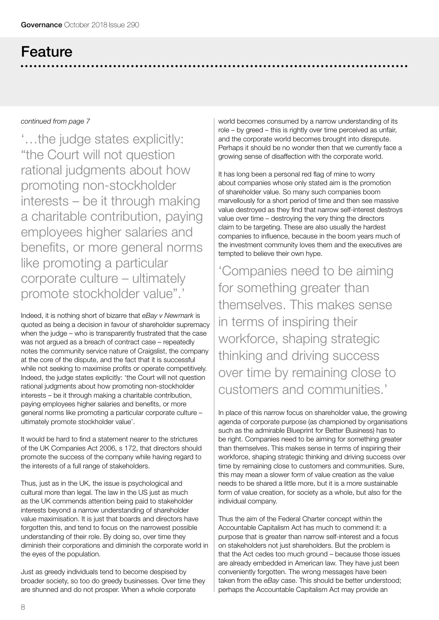# Feature

#### *continued from page 7*

'…the judge states explicitly: "the Court will not question rational judgments about how promoting non-stockholder interests – be it through making a charitable contribution, paying employees higher salaries and benefits, or more general norms like promoting a particular corporate culture – ultimately promote stockholder value".'

Indeed, it is nothing short of bizarre that *eBay v Newmark* is quoted as being a decision in favour of shareholder supremacy when the judge – who is transparently frustrated that the case was not argued as a breach of contract case – repeatedly notes the community service nature of Craigslist, the company at the core of the dispute, and the fact that it is successful while not seeking to maximise profits or operate competitively. Indeed, the judge states explicitly: 'the Court will not question rational judgments about how promoting non-stockholder interests – be it through making a charitable contribution, paying employees higher salaries and benefits, or more general norms like promoting a particular corporate culture – ultimately promote stockholder value'.

It would be hard to find a statement nearer to the strictures of the UK Companies Act 2006, s 172, that directors should promote the success of the company while having regard to the interests of a full range of stakeholders.

Thus, just as in the UK, the issue is psychological and cultural more than legal. The law in the US just as much as the UK commends attention being paid to stakeholder interests beyond a narrow understanding of shareholder value maximisation. It is just that boards and directors have forgotten this, and tend to focus on the narrowest possible understanding of their role. By doing so, over time they diminish their corporations and diminish the corporate world in the eyes of the population.

Just as greedy individuals tend to become despised by broader society, so too do greedy businesses. Over time they are shunned and do not prosper. When a whole corporate

world becomes consumed by a narrow understanding of its role – by greed – this is rightly over time perceived as unfair, and the corporate world becomes brought into disrepute. Perhaps it should be no wonder then that we currently face a growing sense of disaffection with the corporate world.

It has long been a personal red flag of mine to worry about companies whose only stated aim is the promotion of shareholder value. So many such companies boom marvellously for a short period of time and then see massive value destroyed as they find that narrow self-interest destroys value over time – destroying the very thing the directors claim to be targeting. These are also usually the hardest companies to influence, because in the boom years much of the investment community loves them and the executives are tempted to believe their own hype.

'Companies need to be aiming for something greater than themselves. This makes sense in terms of inspiring their workforce, shaping strategic thinking and driving success over time by remaining close to customers and communities.'

In place of this narrow focus on shareholder value, the growing agenda of corporate purpose (as championed by organisations such as the admirable Blueprint for Better Business) has to be right. Companies need to be aiming for something greater than themselves. This makes sense in terms of inspiring their workforce, shaping strategic thinking and driving success over time by remaining close to customers and communities. Sure, this may mean a slower form of value creation as the value needs to be shared a little more, but it is a more sustainable form of value creation, for society as a whole, but also for the individual company.

Thus the aim of the Federal Charter concept within the Accountable Capitalism Act has much to commend it: a purpose that is greater than narrow self-interest and a focus on stakeholders not just shareholders. But the problem is that the Act cedes too much ground – because those issues are already embedded in American law. They have just been conveniently forgotten. The wrong messages have been taken from the *eBay* case. This should be better understood; perhaps the Accountable Capitalism Act may provide an